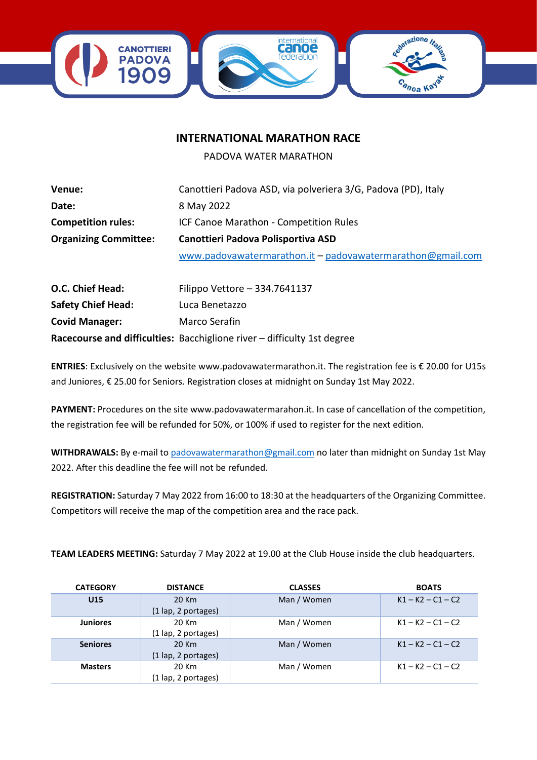

## **INTERNATIONAL MARATHON RACE**

PADOVA WATER MARATHON

| Venue:                       | Canottieri Padova ASD, via polveriera 3/G, Padova (PD), Italy |  |  |  |  |
|------------------------------|---------------------------------------------------------------|--|--|--|--|
| Date:                        | 8 May 2022                                                    |  |  |  |  |
| <b>Competition rules:</b>    | ICF Canoe Marathon - Competition Rules                        |  |  |  |  |
| <b>Organizing Committee:</b> | Canottieri Padova Polisportiva ASD                            |  |  |  |  |
|                              | www.padovawatermarathon.it - padovawatermarathon@gmail.com    |  |  |  |  |
|                              |                                                               |  |  |  |  |

| O.C. Chief Head:          | Filippo Vettore - 334.7641137                                           |
|---------------------------|-------------------------------------------------------------------------|
| <b>Safety Chief Head:</b> | Luca Benetazzo                                                          |
| <b>Covid Manager:</b>     | Marco Serafin                                                           |
|                           | Racecourse and difficulties: Bacchiglione river - difficulty 1st degree |

**ENTRIES**: Exclusively on the website www.padovawatermarathon.it. The registration fee is € 20.00 for U15s and Juniores, € 25.00 for Seniors. Registration closes at midnight on Sunday 1st May 2022.

**PAYMENT:** Procedures on the site www.padovawatermarahon.it. In case of cancellation of the competition, the registration fee will be refunded for 50%, or 100% if used to register for the next edition.

**WITHDRAWALS:** By e-mail t[o padovawatermarathon@gmail.com](mailto:padovawatermarathon@gmail.com) no later than midnight on Sunday 1st May 2022. After this deadline the fee will not be refunded.

**REGISTRATION:** Saturday 7 May 2022 from 16:00 to 18:30 at the headquarters of the Organizing Committee. Competitors will receive the map of the competition area and the race pack.

**TEAM LEADERS MEETING:** Saturday 7 May 2022 at 19.00 at the Club House inside the club headquarters.

| <b>CATEGORY</b> | <b>DISTANCE</b>                       | <b>CLASSES</b> | <b>BOATS</b>        |
|-----------------|---------------------------------------|----------------|---------------------|
| U <sub>15</sub> | 20 Km                                 | Man / Women    | $K1 - K2 - C1 - C2$ |
|                 | $(1 \text{ lap}, 2 \text{ portages})$ |                |                     |
| <b>Juniores</b> | 20 Km                                 | Man / Women    | $K1 - K2 - C1 - C2$ |
|                 | (1 lap, 2 portages)                   |                |                     |
| <b>Seniores</b> | 20 Km                                 | Man / Women    | $K1 - K2 - C1 - C2$ |
|                 | (1 lap, 2 portages)                   |                |                     |
| <b>Masters</b>  | 20 Km                                 | Man / Women    | $K1 - K2 - C1 - C2$ |
|                 | (1 lap, 2 portages)                   |                |                     |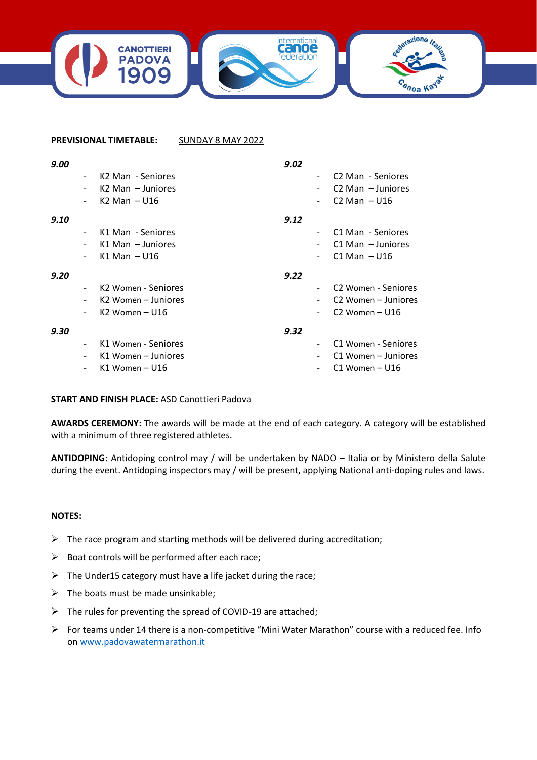

## **PREVISIONAL TIMETABLE:** SUNDAY 8 MAY 2022

| 9.00 |                          |                               | 9.02 |                                 |
|------|--------------------------|-------------------------------|------|---------------------------------|
|      | $\overline{\phantom{a}}$ | K <sub>2</sub> Man - Seniores |      | C <sub>2</sub> Man - Seniores   |
|      | $\overline{\phantom{0}}$ | $K2$ Man $-$ Juniores         |      | $C2$ Man $-$ Juniores           |
|      |                          | $K2$ Man $-$ U16              |      | $C2$ Man $-$ U16                |
| 9.10 |                          |                               | 9.12 |                                 |
|      |                          | K1 Man - Seniores             |      | C1 Man - Seniores               |
|      | $\overline{\phantom{a}}$ | $K1$ Man $-$ Juniores         |      | $C1$ Man $-$ Juniores           |
|      | $\overline{\phantom{a}}$ | $K1$ Man $-$ U16              |      | $C1$ Man $-$ U16                |
| 9.20 |                          |                               | 9.22 |                                 |
|      |                          | K2 Women - Seniores           |      | C <sub>2</sub> Women - Seniores |
|      | $\overline{\phantom{0}}$ | K2 Women – Juniores           |      | C <sub>2</sub> Women – Juniores |
|      |                          | $K2$ Women - U16              |      | $C2$ Women – U16                |
| 9.30 |                          |                               | 9.32 |                                 |
|      | $\overline{\phantom{a}}$ | K1 Women - Seniores           |      | C1 Women - Seniores             |
|      | -                        | K1 Women – Juniores           |      | C1 Women – Juniores             |
|      |                          | K1 Women – U16                |      | $C1$ Women – U16                |

## **START AND FINISH PLACE:** ASD Canottieri Padova

**AWARDS CEREMONY:** The awards will be made at the end of each category. A category will be established with a minimum of three registered athletes.

**ANTIDOPING:** Antidoping control may / will be undertaken by NADO – Italia or by Ministero della Salute during the event. Antidoping inspectors may / will be present, applying National anti-doping rules and laws.

## **NOTES:**

- $\triangleright$  The race program and starting methods will be delivered during accreditation;
- $\triangleright$  Boat controls will be performed after each race;
- $\triangleright$  The Under15 category must have a life jacket during the race;
- $\triangleright$  The boats must be made unsinkable;
- ➢ The rules for preventing the spread of COVID-19 are attached;
- ➢ For teams under 14 there is a non-competitive "Mini Water Marathon" course with a reduced fee. Info on [www.padovawatermarathon.it](http://www.padovawatermarathon.it/)